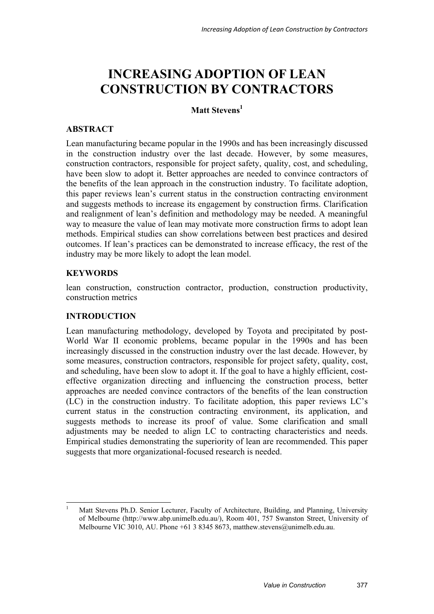# **INCREASING ADOPTION OF LEAN CONSTRUCTION BY CONTRACTORS**

# Matt Stevens<sup>1</sup>

# **ABSTRACT**

Lean manufacturing became popular in the 1990s and has been increasingly discussed in the construction industry over the last decade. However, by some measures, construction contractors, responsible for project safety, quality, cost, and scheduling, have been slow to adopt it. Better approaches are needed to convince contractors of the benefits of the lean approach in the construction industry. To facilitate adoption, this paper reviews lean's current status in the construction contracting environment and suggests methods to increase its engagement by construction firms. Clarification and realignment of lean's definition and methodology may be needed. A meaningful way to measure the value of lean may motivate more construction firms to adopt lean methods. Empirical studies can show correlations between best practices and desired outcomes. If lean's practices can be demonstrated to increase efficacy, the rest of the industry may be more likely to adopt the lean model.

# **KEYWORDS**

1

lean construction, construction contractor, production, construction productivity, construction metrics

# **INTRODUCTION**

Lean manufacturing methodology, developed by Toyota and precipitated by post-World War II economic problems, became popular in the 1990s and has been increasingly discussed in the construction industry over the last decade. However, by some measures, construction contractors, responsible for project safety, quality, cost, and scheduling, have been slow to adopt it. If the goal to have a highly efficient, costeffective organization directing and influencing the construction process, better approaches are needed convince contractors of the benefits of the lean construction (LC) in the construction industry. To facilitate adoption, this paper reviews LC's current status in the construction contracting environment, its application, and suggests methods to increase its proof of value. Some clarification and small adjustments may be needed to align LC to contracting characteristics and needs. Empirical studies demonstrating the superiority of lean are recommended. This paper suggests that more organizational-focused research is needed.

<sup>1</sup> Matt Stevens Ph.D. Senior Lecturer, Faculty of Architecture, Building, and Planning, University of Melbourne (http://www.abp.unimelb.edu.au/), Room 401, 757 Swanston Street, University of Melbourne VIC 3010, AU. Phone +61 3 8345 8673, matthew.stevens@unimelb.edu.au.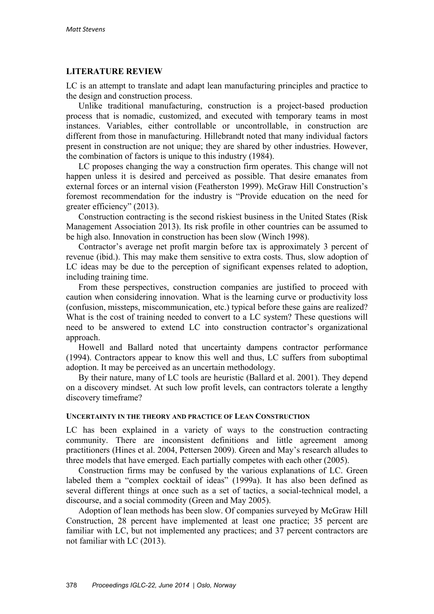# **LITERATURE REVIEW**

LC is an attempt to translate and adapt lean manufacturing principles and practice to the design and construction process.

Unlike traditional manufacturing, construction is a project-based production process that is nomadic, customized, and executed with temporary teams in most instances. Variables, either controllable or uncontrollable, in construction are different from those in manufacturing. Hillebrandt noted that many individual factors present in construction are not unique; they are shared by other industries. However, the combination of factors is unique to this industry (1984).

LC proposes changing the way a construction firm operates. This change will not happen unless it is desired and perceived as possible. That desire emanates from external forces or an internal vision (Featherston 1999). McGraw Hill Construction's foremost recommendation for the industry is "Provide education on the need for greater efficiency" (2013).

Construction contracting is the second riskiest business in the United States (Risk Management Association 2013). Its risk profile in other countries can be assumed to be high also. Innovation in construction has been slow (Winch 1998).

Contractor's average net profit margin before tax is approximately 3 percent of revenue (ibid.). This may make them sensitive to extra costs. Thus, slow adoption of LC ideas may be due to the perception of significant expenses related to adoption, including training time.

From these perspectives, construction companies are justified to proceed with caution when considering innovation. What is the learning curve or productivity loss (confusion, missteps, miscommunication, etc.) typical before these gains are realized? What is the cost of training needed to convert to a LC system? These questions will need to be answered to extend LC into construction contractor's organizational approach.

Howell and Ballard noted that uncertainty dampens contractor performance (1994). Contractors appear to know this well and thus, LC suffers from suboptimal adoption. It may be perceived as an uncertain methodology.

By their nature, many of LC tools are heuristic (Ballard et al. 2001). They depend on a discovery mindset. At such low profit levels, can contractors tolerate a lengthy discovery timeframe?

### **UNCERTAINTY IN THE THEORY AND PRACTICE OF LEAN CONSTRUCTION**

LC has been explained in a variety of ways to the construction contracting community. There are inconsistent definitions and little agreement among practitioners (Hines et al. 2004, Pettersen 2009). Green and May's research alludes to three models that have emerged. Each partially competes with each other (2005).

Construction firms may be confused by the various explanations of LC. Green labeled them a "complex cocktail of ideas" (1999a). It has also been defined as several different things at once such as a set of tactics, a social-technical model, a discourse, and a social commodity (Green and May 2005).

Adoption of lean methods has been slow. Of companies surveyed by McGraw Hill Construction, 28 percent have implemented at least one practice; 35 percent are familiar with LC, but not implemented any practices; and 37 percent contractors are not familiar with LC (2013).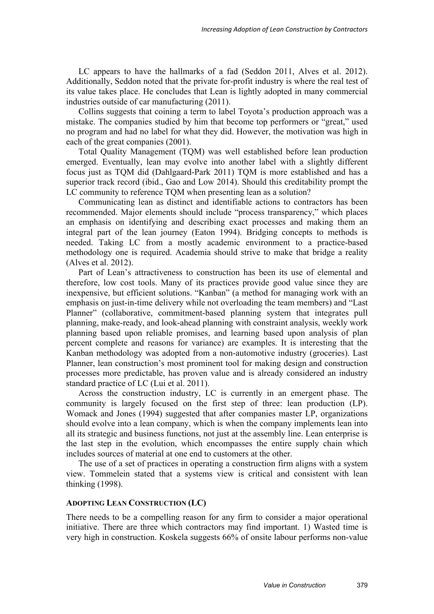LC appears to have the hallmarks of a fad (Seddon 2011, Alves et al. 2012). Additionally, Seddon noted that the private for-profit industry is where the real test of its value takes place. He concludes that Lean is lightly adopted in many commercial industries outside of car manufacturing (2011).

Collins suggests that coining a term to label Toyota's production approach was a mistake. The companies studied by him that become top performers or "great," used no program and had no label for what they did. However, the motivation was high in each of the great companies (2001).

Total Quality Management (TQM) was well established before lean production emerged. Eventually, lean may evolve into another label with a slightly different focus just as TQM did (Dahlgaard-Park 2011) TQM is more established and has a superior track record (ibid., Gao and Low 2014). Should this creditability prompt the LC community to reference TQM when presenting lean as a solution?

Communicating lean as distinct and identifiable actions to contractors has been recommended. Major elements should include "process transparency," which places an emphasis on identifying and describing exact processes and making them an integral part of the lean journey (Eaton 1994). Bridging concepts to methods is needed. Taking LC from a mostly academic environment to a practice-based methodology one is required. Academia should strive to make that bridge a reality (Alves et al. 2012).

Part of Lean's attractiveness to construction has been its use of elemental and therefore, low cost tools. Many of its practices provide good value since they are inexpensive, but efficient solutions. "Kanban" (a method for managing work with an emphasis on just-in-time delivery while not overloading the team members) and "Last Planner" (collaborative, commitment-based planning system that integrates pull planning, make-ready, and look-ahead planning with constraint analysis, weekly work planning based upon reliable promises, and learning based upon analysis of plan percent complete and reasons for variance) are examples. It is interesting that the Kanban methodology was adopted from a non-automotive industry (groceries). Last Planner, lean construction's most prominent tool for making design and construction processes more predictable, has proven value and is already considered an industry standard practice of LC (Lui et al. 2011).

Across the construction industry, LC is currently in an emergent phase. The community is largely focused on the first step of three: lean production (LP). Womack and Jones (1994) suggested that after companies master LP, organizations should evolve into a lean company, which is when the company implements lean into all its strategic and business functions, not just at the assembly line. Lean enterprise is the last step in the evolution, which encompasses the entire supply chain which includes sources of material at one end to customers at the other.

The use of a set of practices in operating a construction firm aligns with a system view. Tommelein stated that a systems view is critical and consistent with lean thinking (1998).

# **ADOPTING LEAN CONSTRUCTION (LC)**

There needs to be a compelling reason for any firm to consider a major operational initiative. There are three which contractors may find important. 1) Wasted time is very high in construction. Koskela suggests 66% of onsite labour performs non-value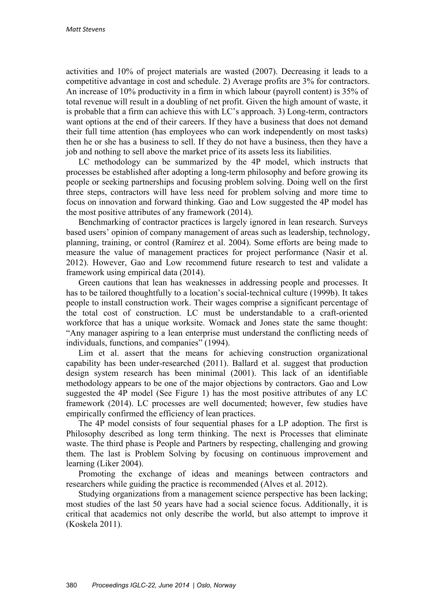activities and 10% of project materials are wasted (2007). Decreasing it leads to a competitive advantage in cost and schedule. 2) Average profits are 3% for contractors. An increase of 10% productivity in a firm in which labour (payroll content) is 35% of total revenue will result in a doubling of net profit. Given the high amount of waste, it is probable that a firm can achieve this with LC's approach. 3) Long-term, contractors want options at the end of their careers. If they have a business that does not demand their full time attention (has employees who can work independently on most tasks) then he or she has a business to sell. If they do not have a business, then they have a job and nothing to sell above the market price of its assets less its liabilities.

LC methodology can be summarized by the 4P model, which instructs that processes be established after adopting a long-term philosophy and before growing its people or seeking partnerships and focusing problem solving. Doing well on the first three steps, contractors will have less need for problem solving and more time to focus on innovation and forward thinking. Gao and Low suggested the 4P model has the most positive attributes of any framework (2014).

Benchmarking of contractor practices is largely ignored in lean research. Surveys based users' opinion of company management of areas such as leadership, technology, planning, training, or control (Ramírez et al. 2004). Some efforts are being made to measure the value of management practices for project performance (Nasir et al. 2012). However, Gao and Low recommend future research to test and validate a framework using empirical data (2014).

Green cautions that lean has weaknesses in addressing people and processes. It has to be tailored thoughtfully to a location's social-technical culture (1999b). It takes people to install construction work. Their wages comprise a significant percentage of the total cost of construction. LC must be understandable to a craft-oriented workforce that has a unique worksite. Womack and Jones state the same thought: "Any manager aspiring to a lean enterprise must understand the conflicting needs of individuals, functions, and companies" (1994).

Lim et al. assert that the means for achieving construction organizational capability has been under-researched (2011). Ballard et al. suggest that production design system research has been minimal (2001). This lack of an identifiable methodology appears to be one of the major objections by contractors. Gao and Low suggested the 4P model (See Figure 1) has the most positive attributes of any LC framework (2014). LC processes are well documented; however, few studies have empirically confirmed the efficiency of lean practices.

The 4P model consists of four sequential phases for a LP adoption. The first is Philosophy described as long term thinking. The next is Processes that eliminate waste. The third phase is People and Partners by respecting, challenging and growing them. The last is Problem Solving by focusing on continuous improvement and learning (Liker 2004).

Promoting the exchange of ideas and meanings between contractors and researchers while guiding the practice is recommended (Alves et al. 2012).

Studying organizations from a management science perspective has been lacking; most studies of the last 50 years have had a social science focus. Additionally, it is critical that academics not only describe the world, but also attempt to improve it (Koskela 2011).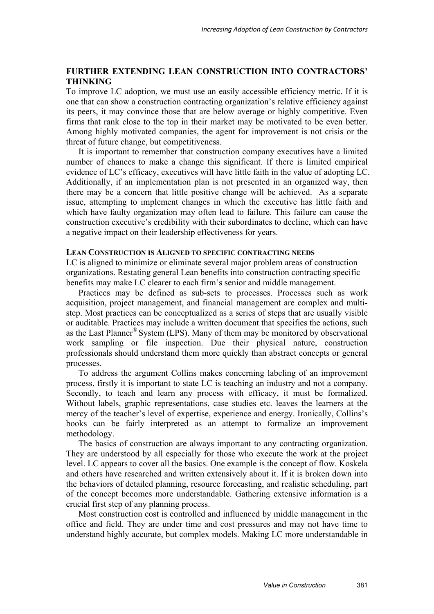# **FURTHER EXTENDING LEAN CONSTRUCTION INTO CONTRACTORS' THINKING**

To improve LC adoption, we must use an easily accessible efficiency metric. If it is one that can show a construction contracting organization's relative efficiency against its peers, it may convince those that are below average or highly competitive. Even firms that rank close to the top in their market may be motivated to be even better. Among highly motivated companies, the agent for improvement is not crisis or the threat of future change, but competitiveness.

It is important to remember that construction company executives have a limited number of chances to make a change this significant. If there is limited empirical evidence of LC's efficacy, executives will have little faith in the value of adopting LC. Additionally, if an implementation plan is not presented in an organized way, then there may be a concern that little positive change will be achieved. As a separate issue, attempting to implement changes in which the executive has little faith and which have faulty organization may often lead to failure. This failure can cause the construction executive's credibility with their subordinates to decline, which can have a negative impact on their leadership effectiveness for years.

# **LEAN CONSTRUCTION IS ALIGNED TO SPECIFIC CONTRACTING NEEDS**

LC is aligned to minimize or eliminate several major problem areas of construction organizations. Restating general Lean benefits into construction contracting specific benefits may make LC clearer to each firm's senior and middle management.

Practices may be defined as sub-sets to processes. Processes such as work acquisition, project management, and financial management are complex and multistep. Most practices can be conceptualized as a series of steps that are usually visible or auditable. Practices may include a written document that specifies the actions, such as the Last Planner® System (LPS). Many of them may be monitored by observational work sampling or file inspection. Due their physical nature, construction professionals should understand them more quickly than abstract concepts or general processes.

To address the argument Collins makes concerning labeling of an improvement process, firstly it is important to state LC is teaching an industry and not a company. Secondly, to teach and learn any process with efficacy, it must be formalized. Without labels, graphic representations, case studies etc. leaves the learners at the mercy of the teacher's level of expertise, experience and energy. Ironically, Collins's books can be fairly interpreted as an attempt to formalize an improvement methodology.

The basics of construction are always important to any contracting organization. They are understood by all especially for those who execute the work at the project level. LC appears to cover all the basics. One example is the concept of flow. Koskela and others have researched and written extensively about it. If it is broken down into the behaviors of detailed planning, resource forecasting, and realistic scheduling, part of the concept becomes more understandable. Gathering extensive information is a crucial first step of any planning process.

Most construction cost is controlled and influenced by middle management in the office and field. They are under time and cost pressures and may not have time to understand highly accurate, but complex models. Making LC more understandable in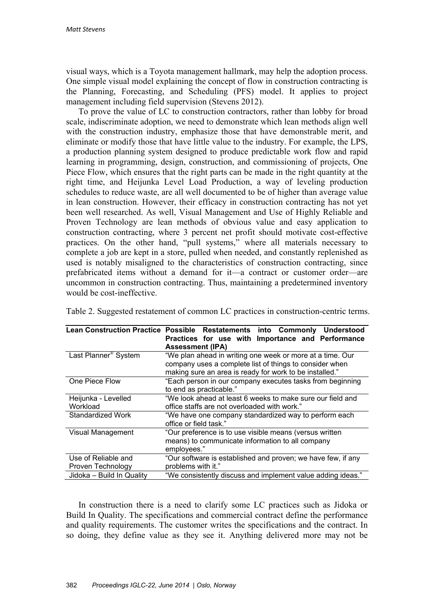visual ways, which is a Toyota management hallmark, may help the adoption process. One simple visual model explaining the concept of flow in construction contracting is the Planning, Forecasting, and Scheduling (PFS) model. It applies to project management including field supervision (Stevens 2012).

To prove the value of LC to construction contractors, rather than lobby for broad scale, indiscriminate adoption, we need to demonstrate which lean methods align well with the construction industry, emphasize those that have demonstrable merit, and eliminate or modify those that have little value to the industry. For example, the LPS, a production planning system designed to produce predictable work flow and rapid learning in programming, design, construction, and commissioning of projects, One Piece Flow, which ensures that the right parts can be made in the right quantity at the right time, and Heijunka Level Load Production, a way of leveling production schedules to reduce waste, are all well documented to be of higher than average value in lean construction. However, their efficacy in construction contracting has not yet been well researched. As well, Visual Management and Use of Highly Reliable and Proven Technology are lean methods of obvious value and easy application to construction contracting, where 3 percent net profit should motivate cost-effective practices. On the other hand, "pull systems," where all materials necessary to complete a job are kept in a store, pulled when needed, and constantly replenished as used is notably misaligned to the characteristics of construction contracting, since prefabricated items without a demand for it—a contract or customer order—are uncommon in construction contracting. Thus, maintaining a predetermined inventory would be cost-ineffective.

| <b>Lean Construction Practice</b> | Possible Restatements into Commonly Understood               |  |  |  |  |  |  |  |
|-----------------------------------|--------------------------------------------------------------|--|--|--|--|--|--|--|
|                                   | Practices for use with Importance and Performance            |  |  |  |  |  |  |  |
|                                   | <b>Assessment (IPA)</b>                                      |  |  |  |  |  |  |  |
| Last Planner <sup>®</sup> System  | "We plan ahead in writing one week or more at a time. Our    |  |  |  |  |  |  |  |
|                                   | company uses a complete list of things to consider when      |  |  |  |  |  |  |  |
|                                   | making sure an area is ready for work to be installed."      |  |  |  |  |  |  |  |
| One Piece Flow                    | "Each person in our company executes tasks from beginning    |  |  |  |  |  |  |  |
|                                   | to end as practicable."                                      |  |  |  |  |  |  |  |
| Heijunka - Levelled               | "We look ahead at least 6 weeks to make sure our field and   |  |  |  |  |  |  |  |
| Workload                          | office staffs are not overloaded with work."                 |  |  |  |  |  |  |  |
| Standardized Work                 | "We have one company standardized way to perform each        |  |  |  |  |  |  |  |
|                                   | office or field task."                                       |  |  |  |  |  |  |  |
| Visual Management                 | "Our preference is to use visible means (versus written      |  |  |  |  |  |  |  |
|                                   | means) to communicate information to all company             |  |  |  |  |  |  |  |
|                                   | employees."                                                  |  |  |  |  |  |  |  |
| Use of Reliable and               | "Our software is established and proven; we have few, if any |  |  |  |  |  |  |  |
| Proven Technology                 | problems with it."                                           |  |  |  |  |  |  |  |
| Jidoka - Build In Quality         | "We consistently discuss and implement value adding ideas."  |  |  |  |  |  |  |  |

Table 2. Suggested restatement of common LC practices in construction-centric terms.

In construction there is a need to clarify some LC practices such as Jidoka or Build In Quality. The specifications and commercial contract define the performance and quality requirements. The customer writes the specifications and the contract. In so doing, they define value as they see it. Anything delivered more may not be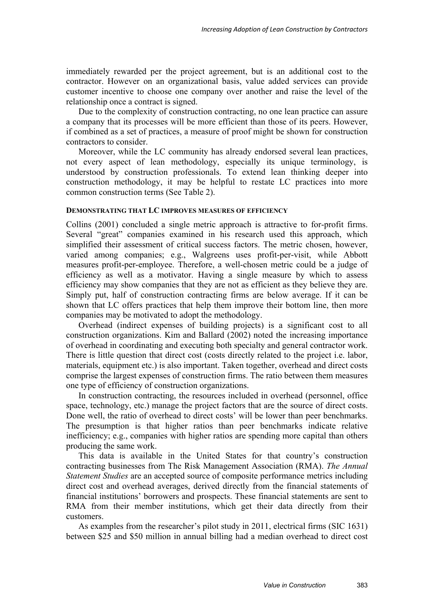immediately rewarded per the project agreement, but is an additional cost to the contractor. However on an organizational basis, value added services can provide customer incentive to choose one company over another and raise the level of the relationship once a contract is signed.

Due to the complexity of construction contracting, no one lean practice can assure a company that its processes will be more efficient than those of its peers. However, if combined as a set of practices, a measure of proof might be shown for construction contractors to consider.

Moreover, while the LC community has already endorsed several lean practices, not every aspect of lean methodology, especially its unique terminology, is understood by construction professionals. To extend lean thinking deeper into construction methodology, it may be helpful to restate LC practices into more common construction terms (See Table 2).

#### **DEMONSTRATING THAT LC IMPROVES MEASURES OF EFFICIENCY**

Collins (2001) concluded a single metric approach is attractive to for-profit firms. Several "great" companies examined in his research used this approach, which simplified their assessment of critical success factors. The metric chosen, however, varied among companies; e.g., Walgreens uses profit-per-visit, while Abbott measures profit-per-employee. Therefore, a well-chosen metric could be a judge of efficiency as well as a motivator. Having a single measure by which to assess efficiency may show companies that they are not as efficient as they believe they are. Simply put, half of construction contracting firms are below average. If it can be shown that LC offers practices that help them improve their bottom line, then more companies may be motivated to adopt the methodology.

Overhead (indirect expenses of building projects) is a significant cost to all construction organizations. Kim and Ballard (2002) noted the increasing importance of overhead in coordinating and executing both specialty and general contractor work. There is little question that direct cost (costs directly related to the project i.e. labor, materials, equipment etc.) is also important. Taken together, overhead and direct costs comprise the largest expenses of construction firms. The ratio between them measures one type of efficiency of construction organizations.

In construction contracting, the resources included in overhead (personnel, office space, technology, etc.) manage the project factors that are the source of direct costs. Done well, the ratio of overhead to direct costs' will be lower than peer benchmarks. The presumption is that higher ratios than peer benchmarks indicate relative inefficiency; e.g., companies with higher ratios are spending more capital than others producing the same work.

This data is available in the United States for that country's construction contracting businesses from The Risk Management Association (RMA). *The Annual Statement Studies* are an accepted source of composite performance metrics including direct cost and overhead averages, derived directly from the financial statements of financial institutions' borrowers and prospects. These financial statements are sent to RMA from their member institutions, which get their data directly from their customers.

As examples from the researcher's pilot study in 2011, electrical firms (SIC 1631) between \$25 and \$50 million in annual billing had a median overhead to direct cost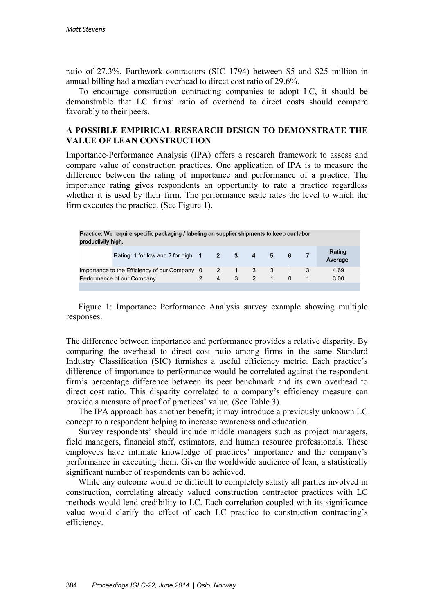ratio of 27.3%. Earthwork contractors (SIC 1794) between \$5 and \$25 million in annual billing had a median overhead to direct cost ratio of 29.6%.

To encourage construction contracting companies to adopt LC, it should be demonstrable that LC firms' ratio of overhead to direct costs should compare favorably to their peers.

# **A POSSIBLE EMPIRICAL RESEARCH DESIGN TO DEMONSTRATE THE VALUE OF LEAN CONSTRUCTION**

Importance-Performance Analysis (IPA) offers a research framework to assess and compare value of construction practices. One application of IPA is to measure the difference between the rating of importance and performance of a practice. The importance rating gives respondents an opportunity to rate a practice regardless whether it is used by their firm. The performance scale rates the level to which the firm executes the practice. (See Figure 1).

| Practice: We require specific packaging / labeling on supplier shipments to keep our labor<br>productivity high. |                                        |  |   |   |                    |         |  |  |                   |  |  |
|------------------------------------------------------------------------------------------------------------------|----------------------------------------|--|---|---|--------------------|---------|--|--|-------------------|--|--|
|                                                                                                                  | Rating: 1 for low and 7 for high 1 2 3 |  |   |   | $\overline{\bf 4}$ | $5 \t6$ |  |  | Rating<br>Average |  |  |
| Importance to the Efficiency of our Company 0 2 1                                                                |                                        |  |   |   |                    |         |  |  | 4.69              |  |  |
| Performance of our Company                                                                                       |                                        |  | 4 | 3 | $\mathcal{P}$      |         |  |  | 3.00              |  |  |
|                                                                                                                  |                                        |  |   |   |                    |         |  |  |                   |  |  |

Figure 1: Importance Performance Analysis survey example showing multiple responses.

The difference between importance and performance provides a relative disparity. By comparing the overhead to direct cost ratio among firms in the same Standard Industry Classification (SIC) furnishes a useful efficiency metric. Each practice's difference of importance to performance would be correlated against the respondent firm's percentage difference between its peer benchmark and its own overhead to direct cost ratio. This disparity correlated to a company's efficiency measure can provide a measure of proof of practices' value. (See Table 3).

The IPA approach has another benefit; it may introduce a previously unknown LC concept to a respondent helping to increase awareness and education.

Survey respondents' should include middle managers such as project managers, field managers, financial staff, estimators, and human resource professionals. These employees have intimate knowledge of practices' importance and the company's performance in executing them. Given the worldwide audience of lean, a statistically significant number of respondents can be achieved.

While any outcome would be difficult to completely satisfy all parties involved in construction, correlating already valued construction contractor practices with LC methods would lend credibility to LC. Each correlation coupled with its significance value would clarify the effect of each LC practice to construction contracting's efficiency.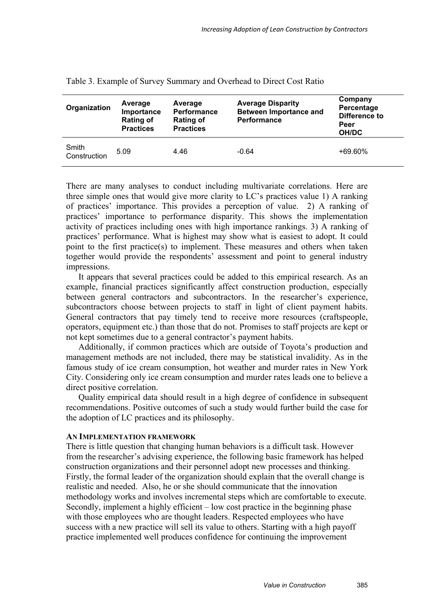| Organization          | Average<br>Importance<br><b>Rating of</b><br><b>Practices</b> | Average<br><b>Performance</b><br><b>Rating of</b><br><b>Practices</b> | <b>Average Disparity</b><br><b>Between Importance and</b><br>Performance | Company<br>Percentage<br><b>Difference to</b><br>Peer<br>OH/DC |
|-----------------------|---------------------------------------------------------------|-----------------------------------------------------------------------|--------------------------------------------------------------------------|----------------------------------------------------------------|
| Smith<br>Construction | 5.09                                                          | 4.46                                                                  | $-0.64$                                                                  | $+69.60\%$                                                     |

Table 3. Example of Survey Summary and Overhead to Direct Cost Ratio

There are many analyses to conduct including multivariate correlations. Here are three simple ones that would give more clarity to LC's practices value 1) A ranking of practices' importance. This provides a perception of value. 2) A ranking of practices' importance to performance disparity. This shows the implementation activity of practices including ones with high importance rankings. 3) A ranking of practices' performance. What is highest may show what is easiest to adopt. It could point to the first practice(s) to implement. These measures and others when taken together would provide the respondents' assessment and point to general industry impressions.

It appears that several practices could be added to this empirical research. As an example, financial practices significantly affect construction production, especially between general contractors and subcontractors. In the researcher's experience, subcontractors choose between projects to staff in light of client payment habits. General contractors that pay timely tend to receive more resources (craftspeople, operators, equipment etc.) than those that do not. Promises to staff projects are kept or not kept sometimes due to a general contractor's payment habits.

Additionally, if common practices which are outside of Toyota's production and management methods are not included, there may be statistical invalidity. As in the famous study of ice cream consumption, hot weather and murder rates in New York City. Considering only ice cream consumption and murder rates leads one to believe a direct positive correlation.

Quality empirical data should result in a high degree of confidence in subsequent recommendations. Positive outcomes of such a study would further build the case for the adoption of LC practices and its philosophy.

## **AN IMPLEMENTATION FRAMEWORK**

There is little question that changing human behaviors is a difficult task. However from the researcher's advising experience, the following basic framework has helped construction organizations and their personnel adopt new processes and thinking. Firstly, the formal leader of the organization should explain that the overall change is realistic and needed. Also, he or she should communicate that the innovation methodology works and involves incremental steps which are comfortable to execute. Secondly, implement a highly efficient – low cost practice in the beginning phase with those employees who are thought leaders. Respected employees who have success with a new practice will sell its value to others. Starting with a high payoff practice implemented well produces confidence for continuing the improvement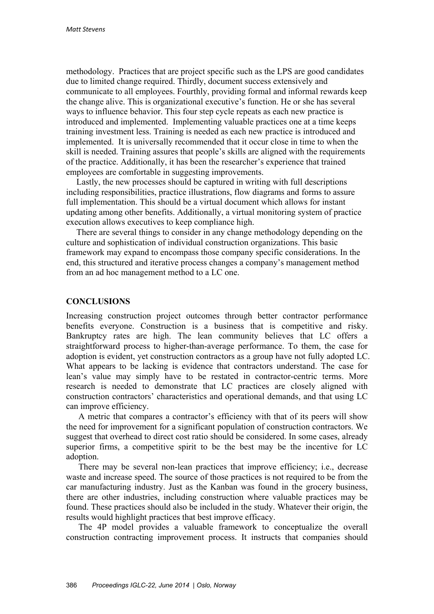methodology. Practices that are project specific such as the LPS are good candidates due to limited change required. Thirdly, document success extensively and communicate to all employees. Fourthly, providing formal and informal rewards keep the change alive. This is organizational executive's function. He or she has several ways to influence behavior. This four step cycle repeats as each new practice is introduced and implemented. Implementing valuable practices one at a time keeps training investment less. Training is needed as each new practice is introduced and implemented. It is universally recommended that it occur close in time to when the skill is needed. Training assures that people's skills are aligned with the requirements of the practice. Additionally, it has been the researcher's experience that trained employees are comfortable in suggesting improvements.

Lastly, the new processes should be captured in writing with full descriptions including responsibilities, practice illustrations, flow diagrams and forms to assure full implementation. This should be a virtual document which allows for instant updating among other benefits. Additionally, a virtual monitoring system of practice execution allows executives to keep compliance high.

There are several things to consider in any change methodology depending on the culture and sophistication of individual construction organizations. This basic framework may expand to encompass those company specific considerations. In the end, this structured and iterative process changes a company's management method from an ad hoc management method to a LC one.

# **CONCLUSIONS**

Increasing construction project outcomes through better contractor performance benefits everyone. Construction is a business that is competitive and risky. Bankruptcy rates are high. The lean community believes that LC offers a straightforward process to higher-than-average performance. To them, the case for adoption is evident, yet construction contractors as a group have not fully adopted LC. What appears to be lacking is evidence that contractors understand. The case for lean's value may simply have to be restated in contractor-centric terms. More research is needed to demonstrate that LC practices are closely aligned with construction contractors' characteristics and operational demands, and that using LC can improve efficiency.

A metric that compares a contractor's efficiency with that of its peers will show the need for improvement for a significant population of construction contractors. We suggest that overhead to direct cost ratio should be considered. In some cases, already superior firms, a competitive spirit to be the best may be the incentive for LC adoption.

There may be several non-lean practices that improve efficiency; i.e., decrease waste and increase speed. The source of those practices is not required to be from the car manufacturing industry. Just as the Kanban was found in the grocery business, there are other industries, including construction where valuable practices may be found. These practices should also be included in the study. Whatever their origin, the results would highlight practices that best improve efficacy.

The 4P model provides a valuable framework to conceptualize the overall construction contracting improvement process. It instructs that companies should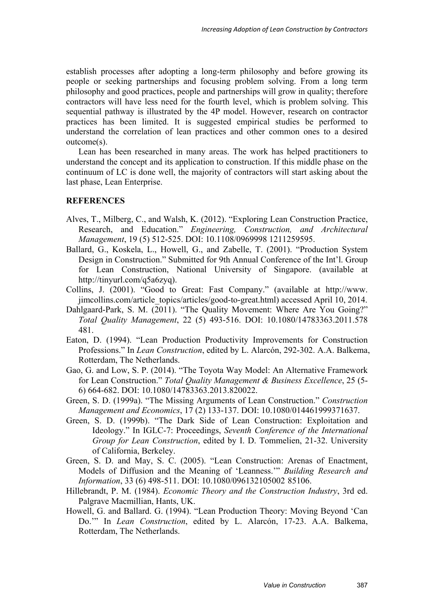establish processes after adopting a long-term philosophy and before growing its people or seeking partnerships and focusing problem solving. From a long term philosophy and good practices, people and partnerships will grow in quality; therefore contractors will have less need for the fourth level, which is problem solving. This sequential pathway is illustrated by the 4P model. However, research on contractor practices has been limited. It is suggested empirical studies be performed to understand the correlation of lean practices and other common ones to a desired outcome(s).

Lean has been researched in many areas. The work has helped practitioners to understand the concept and its application to construction. If this middle phase on the continuum of LC is done well, the majority of contractors will start asking about the last phase, Lean Enterprise.

# **REFERENCES**

- Alves, T., Milberg, C., and Walsh, K. (2012). "Exploring Lean Construction Practice, Research, and Education." *Engineering, Construction, and Architectural Management*, 19 (5) 512-525. DOI: 10.1108/0969998 1211259595.
- Ballard, G., Koskela, L., Howell, G., and Zabelle, T. (2001). "Production System Design in Construction." Submitted for 9th Annual Conference of the Int'l. Group for Lean Construction, National University of Singapore. (available at http://tinyurl.com/q5a6zyq).
- Collins, J. (2001). "Good to Great: Fast Company." (available at http://www. jimcollins.com/article\_topics/articles/good-to-great.html) accessed April 10, 2014.
- Dahlgaard-Park, S. M. (2011). "The Quality Movement: Where Are You Going?" *Total Quality Management*, 22 (5) 493-516. DOI: 10.1080/14783363.2011.578 481.
- Eaton, D. (1994). "Lean Production Productivity Improvements for Construction Professions." In *Lean Construction*, edited by L. Alarcón, 292-302. A.A. Balkema, Rotterdam, The Netherlands.
- Gao, G. and Low, S. P. (2014). "The Toyota Way Model: An Alternative Framework for Lean Construction." *Total Quality Management & Business Excellence*, 25 (5- 6) 664-682. DOI: 10.1080/14783363.2013.820022.
- Green, S. D. (1999a). "The Missing Arguments of Lean Construction." *Construction Management and Economics*, 17 (2) 133-137. DOI: 10.1080/014461999371637.
- Green, S. D. (1999b). "The Dark Side of Lean Construction: Exploitation and Ideology." In IGLC-7: Proceedings, *Seventh Conference of the International Group for Lean Construction*, edited by I. D. Tommelien, 21-32. University of California, Berkeley.
- Green, S. D. and May, S. C. (2005). "Lean Construction: Arenas of Enactment, Models of Diffusion and the Meaning of 'Leanness.'" *Building Research and Information*, 33 (6) 498-511. DOI: 10.1080/096132105002 85106.
- Hillebrandt, P. M. (1984). *Economic Theory and the Construction Industry*, 3rd ed. Palgrave Macmillian, Hants, UK.
- Howell, G. and Ballard. G. (1994). "Lean Production Theory: Moving Beyond 'Can Do.'" In *Lean Construction*, edited by L. Alarcón, 17-23. A.A. Balkema, Rotterdam, The Netherlands.